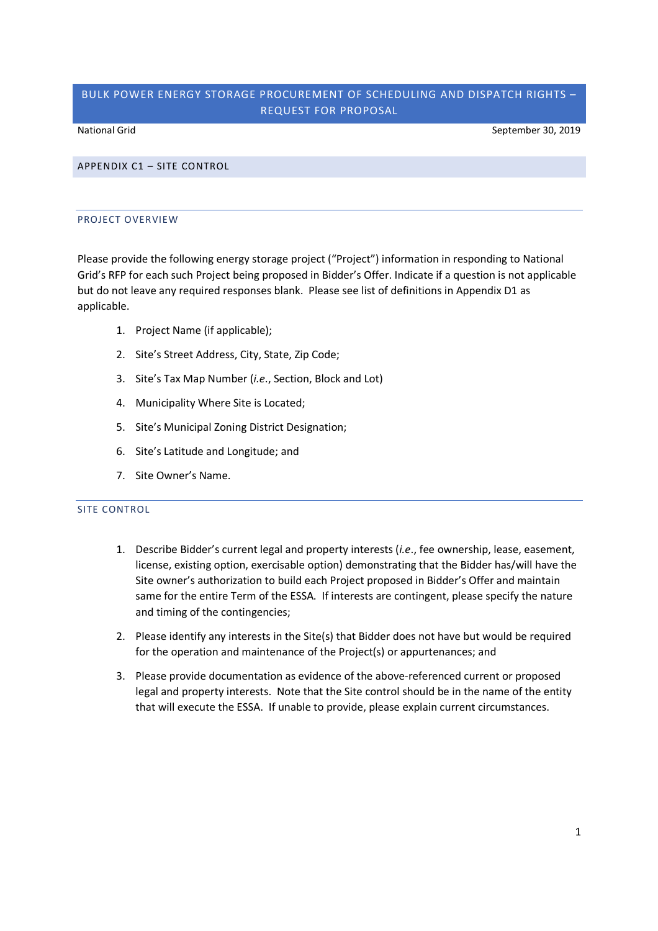# BULK POWER ENERGY STORAGE PROCUREMENT OF SCHEDULING AND DISPATCH RIGHTS – REQUEST FOR PROPOSAL

National Grid September 30, 2019

## APPENDIX C1 – SITE CONTROL

## PROJECT OVERVIEW

Please provide the following energy storage project ("Project") information in responding to National Grid's RFP for each such Project being proposed in Bidder's Offer. Indicate if a question is not applicable but do not leave any required responses blank. Please see list of definitions in Appendix D1 as applicable.

- 1. Project Name (if applicable);
- 2. Site's Street Address, City, State, Zip Code;
- 3. Site's Tax Map Number (*i.e*., Section, Block and Lot)
- 4. Municipality Where Site is Located;
- 5. Site's Municipal Zoning District Designation;
- 6. Site's Latitude and Longitude; and
- 7. Site Owner's Name.

### SITE CONTROL

- 1. Describe Bidder's current legal and property interests (*i.e*., fee ownership, lease, easement, license, existing option, exercisable option) demonstrating that the Bidder has/will have the Site owner's authorization to build each Project proposed in Bidder's Offer and maintain same for the entire Term of the ESSA. If interests are contingent, please specify the nature and timing of the contingencies;
- 2. Please identify any interests in the Site(s) that Bidder does not have but would be required for the operation and maintenance of the Project(s) or appurtenances; and
- 3. Please provide documentation as evidence of the above-referenced current or proposed legal and property interests. Note that the Site control should be in the name of the entity that will execute the ESSA. If unable to provide, please explain current circumstances.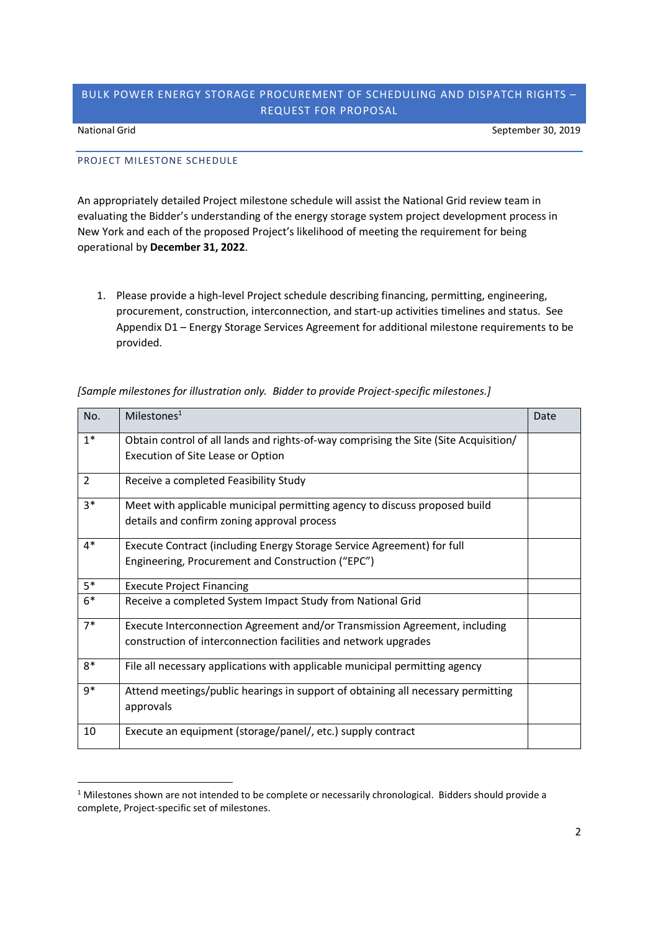## BULK POWER ENERGY STORAGE PROCUREMENT OF SCHEDULING AND DISPATCH RIGHTS – REQUEST FOR PROPOSAL

National Grid September 30, 2019

## PROJECT MILESTONE SCHEDULE

An appropriately detailed Project milestone schedule will assist the National Grid review team in evaluating the Bidder's understanding of the energy storage system project development process in New York and each of the proposed Project's likelihood of meeting the requirement for being operational by **December 31, 2022**.

1. Please provide a high-level Project schedule describing financing, permitting, engineering, procurement, construction, interconnection, and start-up activities timelines and status. See Appendix D1 – Energy Storage Services Agreement for additional milestone requirements to be provided.

| No.            | Milestones $1$                                                                                                                                | Date |
|----------------|-----------------------------------------------------------------------------------------------------------------------------------------------|------|
| $1^*$          | Obtain control of all lands and rights-of-way comprising the Site (Site Acquisition/<br>Execution of Site Lease or Option                     |      |
| $\overline{2}$ | Receive a completed Feasibility Study                                                                                                         |      |
| $3*$           | Meet with applicable municipal permitting agency to discuss proposed build<br>details and confirm zoning approval process                     |      |
| $4*$           | Execute Contract (including Energy Storage Service Agreement) for full<br>Engineering, Procurement and Construction ("EPC")                   |      |
| $5*$           | <b>Execute Project Financing</b>                                                                                                              |      |
| $6*$           | Receive a completed System Impact Study from National Grid                                                                                    |      |
| $7*$           | Execute Interconnection Agreement and/or Transmission Agreement, including<br>construction of interconnection facilities and network upgrades |      |
| 8*             | File all necessary applications with applicable municipal permitting agency                                                                   |      |
| $9*$           | Attend meetings/public hearings in support of obtaining all necessary permitting<br>approvals                                                 |      |
| 10             | Execute an equipment (storage/panel/, etc.) supply contract                                                                                   |      |

*[Sample milestones for illustration only. Bidder to provide Project-specific milestones.]*

 $1$  Milestones shown are not intended to be complete or necessarily chronological. Bidders should provide a complete, Project-specific set of milestones.